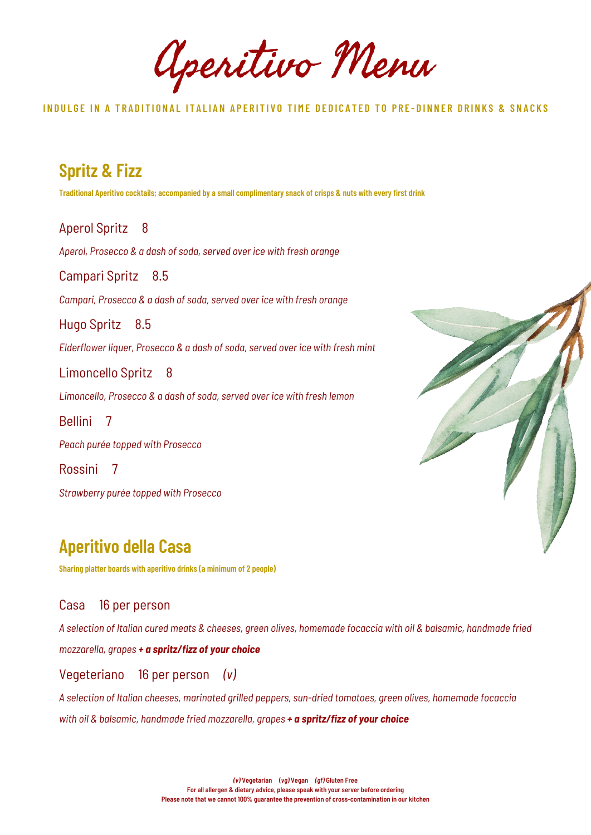Aperitivo Menu

INDULGE IN A TRADITIONAL ITALIAN APERITIVO TIME DEDICATED TO PRE-DINNER DRINKS & SNACKS

**Spritz & Fizz** Traditional Aperitivo cocktails; accompanied by a small complimentary snack of crisps & nuts with every first drink Aperol Spritz 8 *Aperol, Prosecco & a dash of soda, served over ice with fresh orange* Campari Spritz 8.5 *Campari, Prosecco & a dash of soda, served over ice with fresh orange* Hugo Spritz 8.5 *Elderflower liquer, Prosecco & a dash of soda, served over ice with fresh mint* Limoncello Spritz 8 *Limoncello, Prosecco & a dash of soda, served over ice with fresh lemon* Bellini 7 *Peach purée topped with Prosecco* Rossini 7 *Strawberry purée topped with Prosecco*

## **Aperitivo della Casa**

**Sharing platter boards with aperitivo drinks (a minimum of 2 people)**

### Casa 16 per person

A selection of Italian cured meats & cheeses, green olives, homemade focaccia with oil & balsamic, handmade fried *mozzarella, grapes + a spritz/fizz of your choice*

### Vegeteriano 16 per person *(v)*

*A selection of Italian cheeses, marinated grilled peppers, sun-dried tomatoes, green olives, homemade focaccia with oil & balsamic, handmade fried mozzarella, grapes + a spritz/fizz of your choice*